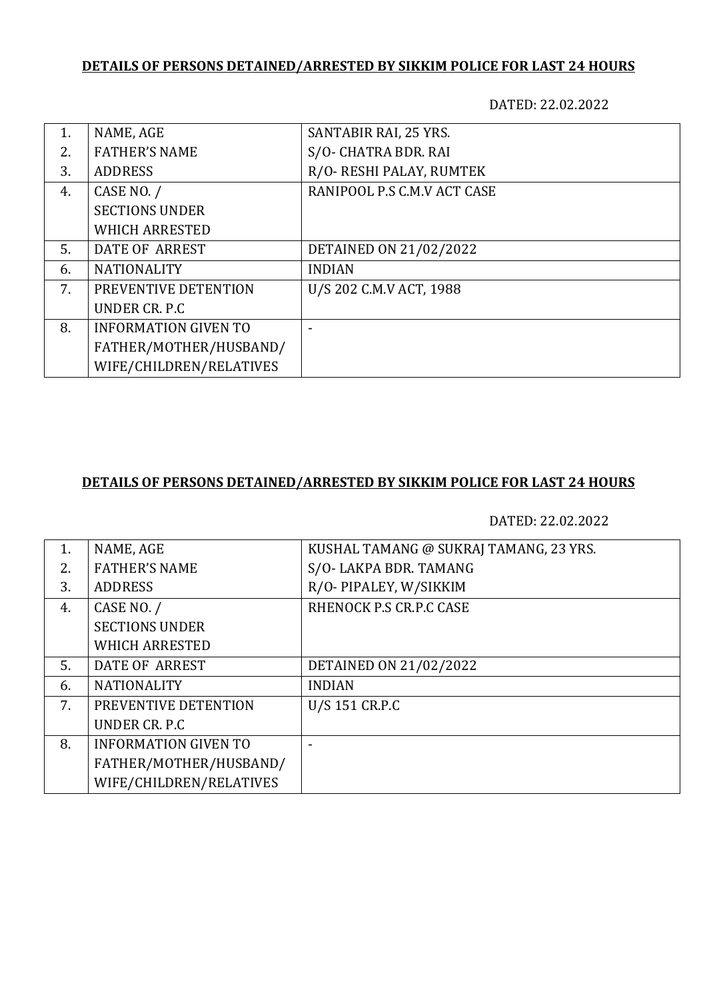## **DETAILS OF PERSONS DETAINED/ARRESTED BY SIKKIM POLICE FOR LAST 24 HOURS**

DATED: 22.02.2022

| NAME, AGE                   | SANTABIR RAI, 25 YRS.       |
|-----------------------------|-----------------------------|
| <b>FATHER'S NAME</b>        | S/O- CHATRA BDR. RAI        |
| <b>ADDRESS</b>              | R/O- RESHI PALAY, RUMTEK    |
| CASE NO. /                  | RANIPOOL P.S C.M.V ACT CASE |
| <b>SECTIONS UNDER</b>       |                             |
| <b>WHICH ARRESTED</b>       |                             |
| DATE OF ARREST              | DETAINED ON 21/02/2022      |
| <b>NATIONALITY</b>          | <b>INDIAN</b>               |
| PREVENTIVE DETENTION        | U/S 202 C.M.V ACT, 1988     |
| UNDER CR. P.C               |                             |
| <b>INFORMATION GIVEN TO</b> |                             |
| FATHER/MOTHER/HUSBAND/      |                             |
| WIFE/CHILDREN/RELATIVES     |                             |
|                             |                             |

## **DETAILS OF PERSONS DETAINED/ARRESTED BY SIKKIM POLICE FOR LAST 24 HOURS**

DATED: 22.02.2022

| NAME, AGE                   | KUSHAL TAMANG @ SUKRAJ TAMANG, 23 YRS. |
|-----------------------------|----------------------------------------|
| <b>FATHER'S NAME</b>        | S/O-LAKPA BDR. TAMANG                  |
| <b>ADDRESS</b>              | R/O-PIPALEY, W/SIKKIM                  |
| CASE NO. /                  | RHENOCK P.S CR.P.C CASE                |
| <b>SECTIONS UNDER</b>       |                                        |
| <b>WHICH ARRESTED</b>       |                                        |
| DATE OF ARREST              | DETAINED ON 21/02/2022                 |
| <b>NATIONALITY</b>          | <b>INDIAN</b>                          |
| PREVENTIVE DETENTION        | U/S 151 CR.P.C                         |
| UNDER CR. P.C               |                                        |
| <b>INFORMATION GIVEN TO</b> |                                        |
| FATHER/MOTHER/HUSBAND/      |                                        |
| WIFE/CHILDREN/RELATIVES     |                                        |
|                             |                                        |